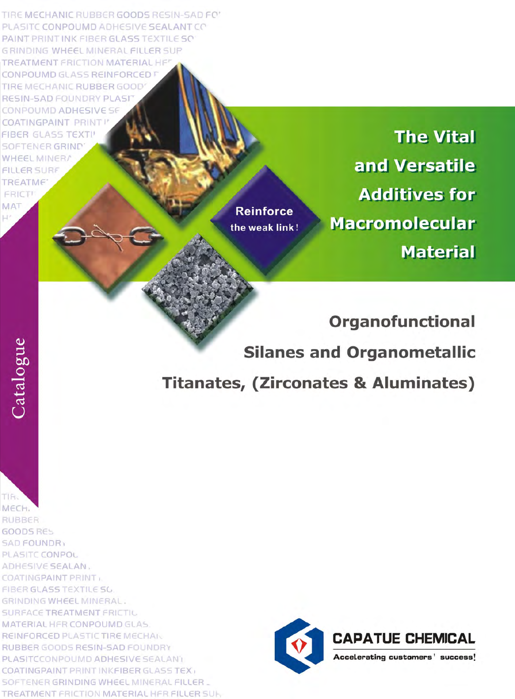TIRE MECHANIC RUBBER GOODS RESIN-SAD FO' PLASITC CONPOUMD ADHESIVE SEALANT CO PAINT PRINT INK FIBER GLASS TEXTILE SO **GRINDING WHEEL MINERAL FILLER SUP TREATMENT FRICTION MATERIAL HFT** CONPOUMD GLASS REINFORCED F TIRE MECHANIC RUBBER GOOD RESIN-SAD FOUNDRY PLASIT CONPOUMD ADHESIVE SF **COATINGPAINT PRINT! FIBER GLASS TEXTI! SOFTENER GRIND WHEEL MINER/ FILLER SURF TREATME** 

**FRICT! MAT** 

**Reinforce** the weak link!

**The Vital** and Versatile **Additives for Macromolecular Material** 

**Organofunctional Silanes and Organometallic Titanates, (Zirconates & Aluminates)** 

TIF<sub>s</sub> MECH. **RUBBER** GOODS RES **SAD FOUNDR** PLASITC CONPOL ADHESIVE SEALAN, COATINGPAINT PRINT FIBER GLASS TEXTILE SO GRINDING WHEEL MINERAL. **SURFACE TREATMENT FRICTIL** MATERIAL HFR CONPOUMD GLAS REINFORCED PLASTIC TIRE MECHAN RUBBER GOODS RESIN-SAD FOUNDRY PLASITCCONPOUMD ADHESIVE SEALANT COATINGPAINT PRINT INKFIBER GLASS TEX SOFTENER GRINDING WHEEL MINERAL FILLER. TREATMENT FRICTION MATERIAL HFR FILLER SUH

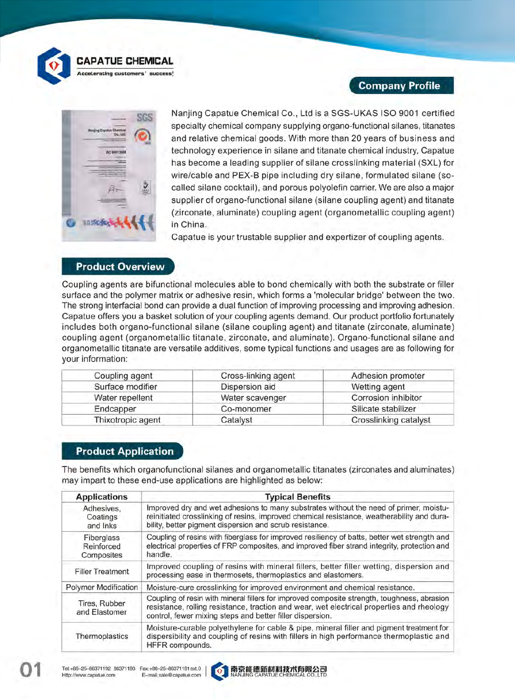

**CAPATUE CHEMICAL** 

euggest

**Accelerating customers** 

# **Company Profile**



Nanjing Capatue Chemical Co., Ltd is a SGS-UKAS ISO 9001 certified specialty chemical company supplying organo-functional silanes, titanates and relative chemical goods. With more than 20 years of business and technology experience in silane and titanate chemical industry, Capatue has become a leading supplier of silane crosslinking material (SXL) for wire/cable and PEX-B pipe including dry silane, formulated silane (socalled silane cocktail), and porous polyolefin carrier. We are also a major supplier of organo-functional silane (silane coupling agent) and titanate (zirconate, aluminate) coupling agent (organometallic coupling agent) in China.

Capatue is your trustable supplier and expertizer of coupling agents.

#### **Product Overview**

Coupling agents are bifunctional molecules able to bond chemically with both the substrate or filler surface and the polymer matrix or adhesive resin, which forms a 'molecular bridge' between the two. The strong interfacial bond can provide a dual function of improving processing and improving adhesion. Capatue offers you a basket solution of your coupling agents demand. Our product portfolio fortunately includes both organo-functional silane (silane coupling agent) and titanate (zirconate, aluminate) coupling agent (organometallic titanate, zirconate, and aluminate). Organo-functional silane and organometallic titanate are versatile additives, some typical functions and usages are as following for your information:

| Coupling agent    | Cross-linking agent | Adhesion promoter     |
|-------------------|---------------------|-----------------------|
| Surface modifier  | Dispersion aid      | Wetting agent         |
| Water repellent   | Water scavenger     | Corrosion inhibitor   |
| Endcapper         | Co-monomer          | Silicate stabilizer   |
| Thixotropic agent | Catalyst            | Crosslinking catalyst |

### **Product Application**

The benefits which organofunctional silanes and organometallic titanates (zirconates and aluminates) may impart to these end-use applications are highlighted as below:

| <b>Applications</b>                    | <b>Typical Benefits</b>                                                                                                                                                                                                                               |
|----------------------------------------|-------------------------------------------------------------------------------------------------------------------------------------------------------------------------------------------------------------------------------------------------------|
| Adhesives.<br>Coatings<br>and Inks     | Improved dry and wet adhesions to many substrates without the need of primer, moistu-<br>reinitiated crosslinking of resins, improved chemical resistance, weatherability and dura-<br>bility, better pigment dispersion and scrub resistance.        |
| Fiberglass<br>Reinforced<br>Composites | Coupling of resins with fiberglass for improved resiliency of batts, better wet strength and<br>electrical properties of FRP composites, and improved fiber strand integrity, protection and<br>handle.                                               |
| <b>Filler Treatment</b>                | Improved coupling of resins with mineral fillers, better filler wetting, dispersion and<br>processing ease in thermosets, thermoplastics and elastomers.                                                                                              |
| <b>Polymer Modification</b>            | Moisture-cure crosslinking for improved environment and chemical resistance.                                                                                                                                                                          |
| Tires, Rubber<br>and Elastomer         | Coupling of resin with mineral fillers for improved composite strength, toughness, abrasion<br>resistance, rolling resistance, traction and wear, wet electrical properties and rheology<br>control, fewer mixing steps and better filler dispersion. |
| Thermoplastics                         | Moisture-curable polyethylene for cable & pipe, mineral filler and pigment treatment for<br>dispersibility and coupling of resins with fillers in high performance thermoplastic and<br>HFFR compounds.                                               |



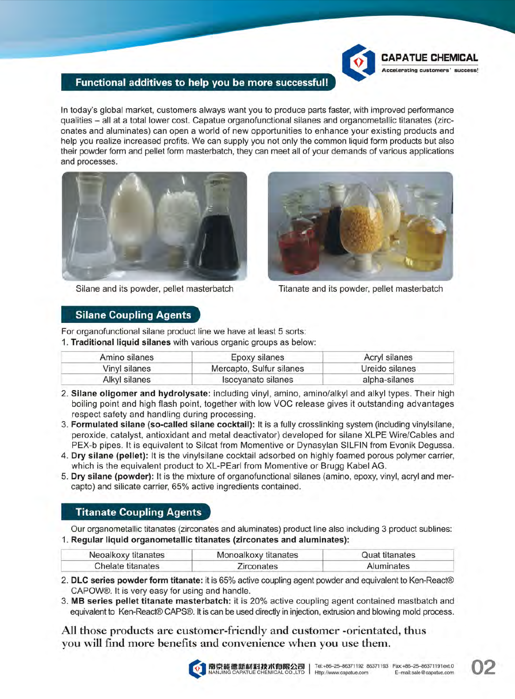

### Functional additives to help you be more successful!

In today's global market, customers always want you to produce parts faster, with improved performance qualities - all at a total lower cost. Capatue organofunctional silanes and organometallic titanates (zirconates and aluminates) can open a world of new opportunities to enhance your existing products and help you realize increased profits. We can supply you not only the common liquid form products but also their powder form and pellet form masterbatch, they can meet all of your demands of various applications and processes.



Silane and its powder, pellet masterbatch



Titanate and its powder, pellet masterbatch

### **Silane Coupling Agents**

For organofunctional silane product line we have at least 5 sorts:

1. Traditional liquid silanes with various organic groups as below:

| Amino silanes | Epoxy silanes            | Acryl silanes  |
|---------------|--------------------------|----------------|
| Vinyl silanes | Mercapto, Sulfur silanes | Ureido silanes |
| Alkyl silanes | Isocyanato silanes       | alpha-silanes  |

- 2. Silane oligomer and hydrolysate: including vinyl, amino, amino/alkyl and alkyl types. Their high boiling point and high flash point, together with low VOC release gives it outstanding advantages respect safety and handling during processing.
- 3. Formulated silane (so-called silane cocktail): It is a fully crosslinking system (including vinylsilane, peroxide, catalyst, antioxidant and metal deactivator) developed for silane XLPE Wire/Cables and PEX-b pipes. It is equivalent to Silcat from Momentive or Dynasylan SILFIN from Evonik Dequssa.
- 4. Dry silane (pellet): It is the vinylsilane cocktail adsorbed on highly foamed porous polymer carrier. which is the equivalent product to XL-PEarl from Momentive or Brugg Kabel AG.
- 5. Dry silane (powder): It is the mixture of organofunctional silanes (amino, epoxy, vinyl, acryl and mercapto) and silicate carrier, 65% active ingredients contained.

## **Titanate Coupling Agents**

Our organometallic titanates (zirconates and aluminates) product line also including 3 product sublines: 1. Regular liquid organometallic titanates (zirconates and aluminates):

| Neoalkoxy titanates | Monoalkoxy titanates | Quat titanates |  |
|---------------------|----------------------|----------------|--|
| Chelate titanates   | Zirconates           | Aluminates     |  |

- 2. DLC series powder form titanate: it is 65% active coupling agent powder and equivalent to Ken-React® CAPOW®. It is very easy for using and handle.
- 3. MB series pellet titanate masterbatch: it is 20% active coupling agent contained mastbatch and equivalent to Ken-React® CAPS®. It is can be used directly in injection, extrusion and blowing mold process.

All those products are customer-friendly and customer -orientated, thus you will find more benefits and convenience when you use them.

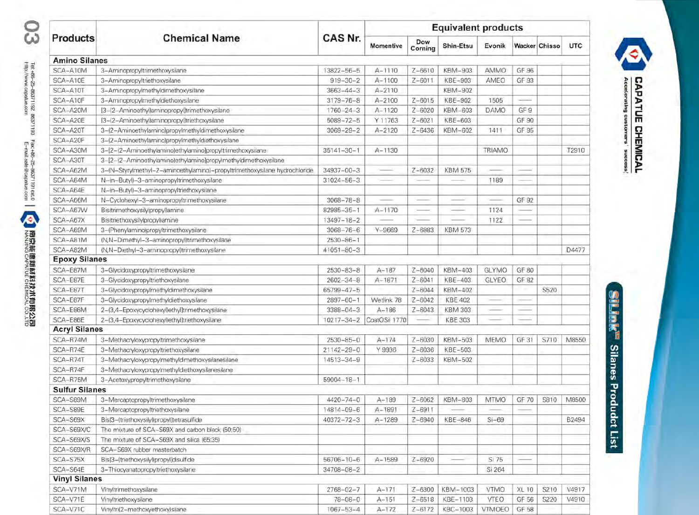|                       | <b>Chemical Name</b>                                                      | CAS Nr.          | <b>Equivalent products</b> |                |                |               |       |                      |            |
|-----------------------|---------------------------------------------------------------------------|------------------|----------------------------|----------------|----------------|---------------|-------|----------------------|------------|
| <b>Products</b>       |                                                                           |                  | Momentive                  | Dow<br>Corning | Shin-Etsu      | Evonik        |       | <b>Wacker Chisso</b> | <b>UTC</b> |
| <b>Amino Silanes</b>  |                                                                           |                  |                            |                |                |               |       |                      |            |
| SCA-A10M              | 3-Aminopropyltrimethoxysilane                                             | 13822-56-5       | $A - 1110$                 | $Z - 6610$     | <b>KBM-903</b> | AMMO          | GF 96 |                      |            |
| SCA-A10E              | 3-Aminopropyltriethoxysilane                                              | $919 - 30 - 2$   | $A - 1100$                 | $Z - 6011$     | KBE-903        | AMEO          | GF 93 |                      |            |
| SCA-A10T              | 3-Aminopropylmethyldimethoxysilane                                        | $3663 - 44 - 3$  | $A - 2110$                 |                | KBM-902        |               |       |                      |            |
| SCA-A10F              | 3-Aminopropylmethyldiethoxysilane                                         | $3179 - 76 - 8$  | $A - 2100$                 | $Z - 6015$     | <b>KBE-902</b> | 1505          |       |                      |            |
| SCA-A20M              | [3-(2-Aminoethyl)aminopropyl)trimethoxysilane                             | $1760 - 24 - 3$  | $A - 1120$                 | $Z - 6020$     | KBM-603        | <b>DAMO</b>   | GF 9  |                      |            |
| SCA-A20E              | [3-(2-Aminoethyl)aminopropyl)triethoxysilane                              | $5089 - 72 - 5$  | Y 11763                    | $Z - 6021$     | <b>KBE-603</b> |               | GF 90 |                      |            |
| SCA-A20T              | 3-(2-Aminoethylamino)propylmethyldimethoxysilane                          | $3069 - 29 - 2$  | $A - 2120$                 | $Z - 6436$     | KBM-602        | 1411          | GF 95 |                      |            |
| SCA-A20F              | 3-(2-Aminoethylamino)propylmethyldiethoxysilane                           |                  |                            |                |                |               |       |                      |            |
| SCA-A30M              | 3-(2-(2-Aminoethylamino)ethylamino]propyltrimethoxysilane                 | $35141 - 30 - 1$ | $A - 1130$                 |                |                | <b>TRIAMO</b> |       |                      | T2910      |
| SCA-A30T              | 3-[2-(2-Aminoethylamino)ethylamino]propylmethyldimethoxysilane            |                  |                            |                |                |               |       |                      |            |
| SCA-A62M              | 3-(N-Styrylmethyl-2-aminoethylamino)-propyltrimethoxysilane hydrochloride | 34937-00-3       |                            | $Z - 6032$     | <b>KBM 575</b> |               |       |                      |            |
| SCA-A64M              | N-(n-Butyl)-3-aminopropyltrimethoxysilane                                 | $31024 - 56 - 3$ |                            |                |                | 1189          |       |                      |            |
| SCA-A64E              | N-(n-Butyl)-3-aminopropyltriethoxysilane                                  |                  |                            |                |                |               |       |                      |            |
| SCA-A66M              | N-Cyclohexyl-3-aminopropyltrimethoxysilane                                | $3068 - 78 - 8$  |                            |                |                |               | GF 92 |                      |            |
| SCA-A67W              | Bis(trimethoxysilylpropyl)amine                                           | $82985 - 35 - 1$ | $A-1170$                   |                |                | 1124          |       |                      |            |
| SCA-A67X              | Bis(triethoxysilylpropyl)amine                                            | 13497-18-2       |                            |                |                | 1122          |       |                      |            |
| SCA-A69M              | 3-(Phenylamino)propyltrimethoxysilane                                     | $3068 - 76 - 6$  | $Y - 9669$                 | $Z - 6883$     | <b>KBM 573</b> |               |       |                      |            |
| SCA-A81M              | (N,N-Dimethyl-3-aminopropyl)trimethoxysilane                              | $2530 - 86 - 1$  |                            |                |                |               |       |                      |            |
| SCA-A82M              | (N,N-Diethyl-3-aminopropyl)trimethoxysilane                               | $41051 - 80 - 3$ |                            |                |                |               |       |                      | D4477      |
| <b>Epoxy Silanes</b>  |                                                                           |                  |                            |                |                |               |       |                      |            |
| SCA-E87M              | 3-Glycidoxypropyltrimethoxysilane                                         | $2530 - 83 - 8$  | $A - 187$                  | $Z - 6040$     | KBM-403        | <b>GLYMO</b>  | GF 80 |                      |            |
| SCA-E87E              | 3-Glycidoxypropyltriethoxysilane                                          | $2602 - 34 - 8$  | $A - 1871$                 | $Z - 6041$     | KBE-403        | GLYEO         | GF 82 |                      |            |
| SCA-E87T              | 3-Glycidoxypropylmethyldimethoxysilane                                    | $65799 - 47 - 5$ |                            | $Z - 6044$     | KBM-402        |               |       | S520                 |            |
| SCA-E87F              | 3-Glycidoxypropylmethyldiethoxysilane                                     | $2897 - 60 - 1$  | Wetlink 78                 | $Z - 6042$     | <b>KBE 402</b> |               |       |                      |            |
| SCA-E86M              | 2-(3,4-Epoxycyclohexyl)ethyl]trimethoxysilane                             | $3388 - 04 - 3$  | $A - 186$                  | $Z - 6043$     | <b>KBM 303</b> |               |       |                      |            |
| SCA-E86E              | 2-(3,4-Epoxycyclohexyl)ethyl]triethoxysilane                              | $10217 - 34 - 2$ | CoatOSil 1770              |                | <b>KBE 303</b> |               |       |                      |            |
| <b>Acryl Silanes</b>  |                                                                           |                  |                            |                |                |               |       |                      |            |
| SCA-R74M              | 3-Methacryloxypropyltrimethoxysilane                                      | $2530 - 85 - 0$  | $A - 174$                  | $Z - 6030$     | KBM-503        | <b>MEMO</b>   | GF 31 | S710                 | M8550      |
| SCA-R74E              | 3-Methacryloxypropyltriethoxysilane                                       | $21142 - 29 - 0$ | Y 9936                     | $Z - 6036$     | KBE-503        |               |       |                      |            |
| SCA-R74T              | 3-Methacryloxypropylmethyldimethoxysilanesilane                           | 14513-34-9       |                            | $Z - 6033$     | KBM-502        |               |       |                      |            |
| SCA-R74F              | 3-Methacryloxypropylmethyldiethoxysilanesilane                            |                  |                            |                |                |               |       |                      |            |
| SCA-R75M              | 3-Acetoxypropyltrimethoxysilane                                           | $59004 - 18 - 1$ |                            |                |                |               |       |                      |            |
| <b>Sulfur Silanes</b> |                                                                           |                  |                            |                |                |               |       |                      |            |
| SCA-S89M              | 3-Mercaptopropyltrimethoxysilane                                          | $4420 - 74 - 0$  | $A - 189$                  | $Z - 6062$     | KBM-803        | <b>MTMO</b>   | GF 70 | S810                 | M8500      |
| SCA-S89E              | 3-Mercaptopropyltriethoxysilane                                           | 14814-09-6       | $A - 1891$                 | $Z - 6911$     |                |               |       |                      |            |
| SCA-S69X              | Bis[3-(triethoxysilyl)propyl]tetrasulfide                                 | $40372 - 72 - 3$ | $A - 1289$                 | $Z - 6940$     | KBE-846        | $Si-69$       |       |                      | B2494      |
| SCA-S69X/C            | The mixture of SCA-S69X and carbon black (50;50)                          |                  |                            |                |                |               |       |                      |            |
| SCA-S69X/S            | The mixture of SCA-S69X and silica (65:35)                                |                  |                            |                |                |               |       |                      |            |
| SCA-S69X/R            | SCA-S69X rubber masterbatch                                               |                  |                            |                |                |               |       |                      |            |
| SCA-S75X              | Bis[3-(triethoxysilyl)propyl]disulfide                                    | $56706 - 10 - 6$ | $A - 1589$                 | $Z - 6920$     |                | Si 75         |       |                      |            |
| SCA-S64E              | 3-Thiocyanatopropyltriethoxysilane                                        | $34708 - 08 - 2$ |                            |                |                | Si 264        |       |                      |            |
| <b>Vinyl Silanes</b>  |                                                                           |                  |                            |                |                |               |       |                      |            |
| SCA-V71M              | Vinyltrimethoxysilane                                                     | $2768 - 02 - 7$  | $A - 171$                  | $Z - 6300$     | KBM-1003       | <b>VTMO</b>   | XL 10 | S210                 | V4917      |
| SCA-V71E              | Vinyltriethoxysilane                                                      | $78 - 08 - 0$    | $A - 151$                  | $Z - 6518$     | KBE-1103       | VTEO          | GF 56 | S220                 | V4910      |
| SCA-V71C              | Vinyltri(2-methoxyethoxy)silane                                           | $1067 - 53 - 4$  | $A-172$                    | $Z - 6172$     | KBC-1003       | VTMOEO        | GF 58 |                      |            |
|                       |                                                                           |                  |                            |                |                |               |       |                      |            |

**SLINE Silanes Produdct List** 

**CAPATUE CHEMICAL**<br>Accelerating customers' success!

Ø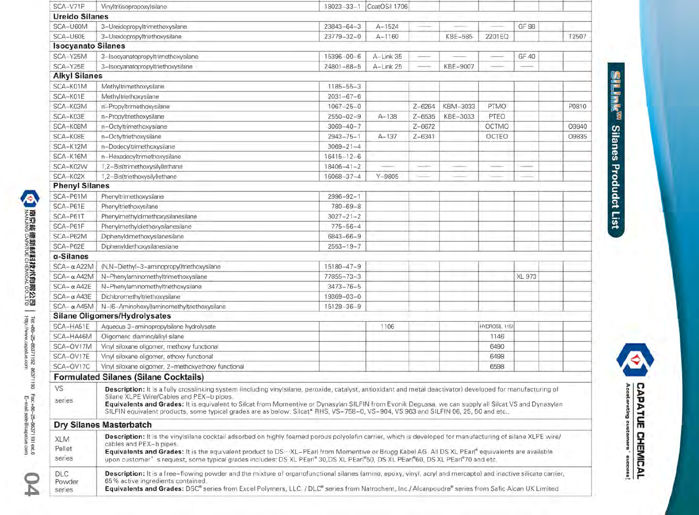| SCA-V71P                       | Vinyltri(isopropoxy)silane                                                                                                                                                                                                                                                                                                                                                                                                                                                                                                       | 18023-33-1       | CoatOSil 1706 |                   |          |               |        |       |
|--------------------------------|----------------------------------------------------------------------------------------------------------------------------------------------------------------------------------------------------------------------------------------------------------------------------------------------------------------------------------------------------------------------------------------------------------------------------------------------------------------------------------------------------------------------------------|------------------|---------------|-------------------|----------|---------------|--------|-------|
| <b>Ureido Silanes</b>          |                                                                                                                                                                                                                                                                                                                                                                                                                                                                                                                                  |                  |               |                   |          |               |        |       |
| SCA-U60M                       | 3-Ureidopropyltrimethoxysilane                                                                                                                                                                                                                                                                                                                                                                                                                                                                                                   | $23843 - 64 - 3$ | $A - 1524$    |                   |          |               | GF 98  |       |
| SCA-U60E                       | 3-Ureidopropyltriethoxysilane                                                                                                                                                                                                                                                                                                                                                                                                                                                                                                    | $23779 - 32 - 0$ | $A - 1160$    |                   | KBE-585  | 2201EQ        |        | T2507 |
| <b>Isocyanato Silanes</b>      |                                                                                                                                                                                                                                                                                                                                                                                                                                                                                                                                  |                  |               |                   |          |               |        |       |
| SCA-Y25M                       | 3-Isocyanatopropyltrimethoxysilane                                                                                                                                                                                                                                                                                                                                                                                                                                                                                               | 15396-00-6       | A-Link 35     |                   |          |               | GF 40  |       |
| SCA-Y25E                       | 3-Isocyanatopropyltriethoxysilane                                                                                                                                                                                                                                                                                                                                                                                                                                                                                                | $24801 - 88 - 5$ | A-Link 25     |                   | KBE-9007 |               |        |       |
| <b>Alkyl Silanes</b>           |                                                                                                                                                                                                                                                                                                                                                                                                                                                                                                                                  |                  |               |                   |          |               |        |       |
| SCA-K01M                       | Methyltrimethoxysilane                                                                                                                                                                                                                                                                                                                                                                                                                                                                                                           | 1185-55-3        |               |                   |          |               |        |       |
| SCA-K01E                       | Methyltriethoxysilane                                                                                                                                                                                                                                                                                                                                                                                                                                                                                                            | $2031 - 67 - 6$  |               |                   |          |               |        |       |
| SCA-K03M                       | n-Propyltrimethoxysilane                                                                                                                                                                                                                                                                                                                                                                                                                                                                                                         | $1067 - 25 - 0$  |               | $Z - 6264$        | KBM-3033 | PTMO          |        | P0810 |
| SCA-K03E                       | n-Propyltriethoxysilane                                                                                                                                                                                                                                                                                                                                                                                                                                                                                                          | $2550 - 02 - 9$  | $A - 138$     | $Z - 6535$        | KBE-3033 | PTEO          |        |       |
| SCA-K08M                       | n-Octyltrimethoxysilane                                                                                                                                                                                                                                                                                                                                                                                                                                                                                                          | $3069 - 40 - 7$  |               | $Z - 6672$        |          | OCTMO         |        | O9840 |
| SCA-K08E                       | n-Octyltriethoxysilane                                                                                                                                                                                                                                                                                                                                                                                                                                                                                                           | $2943 - 75 - 1$  | $A - 137$     | $Z - 6341$        |          | OCTEO         |        | O9835 |
| SCA-K12M                       | n-Dodecyltrimethoxysilane                                                                                                                                                                                                                                                                                                                                                                                                                                                                                                        | $3069 - 21 - 4$  |               |                   |          |               |        |       |
| SCA-K16M                       | n-Hexadecyltrimethoxysilane                                                                                                                                                                                                                                                                                                                                                                                                                                                                                                      | $16415 - 12 - 6$ |               |                   |          |               |        |       |
| SCA-K02W                       | 1,2-Bis(trimethoxysilyl)ethane                                                                                                                                                                                                                                                                                                                                                                                                                                                                                                   | $18406 - 41 - 2$ |               | <b>Contractor</b> |          |               |        |       |
| SCA-K02X                       | 1,2-Bis(triethoxysilyl)ethane                                                                                                                                                                                                                                                                                                                                                                                                                                                                                                    | 16068-37-4       | $Y - 9805$    |                   |          |               |        |       |
| <b>Phenyl Silanes</b>          |                                                                                                                                                                                                                                                                                                                                                                                                                                                                                                                                  |                  |               |                   |          |               |        |       |
| SCA-P61M                       | Phenyltrimethoxysilane                                                                                                                                                                                                                                                                                                                                                                                                                                                                                                           | $2996 - 92 - 1$  |               |                   |          |               |        |       |
| SCA-P61E                       | Phenyltriethoxysilane                                                                                                                                                                                                                                                                                                                                                                                                                                                                                                            | $780 - 69 - 8$   |               |                   |          |               |        |       |
| SCA-P61T                       | Phenylmethyldimethoxysilanesilane                                                                                                                                                                                                                                                                                                                                                                                                                                                                                                | $3027 - 21 - 2$  |               |                   |          |               |        |       |
| SCA-P61F                       | Phenylmethyldiethoxysilanesilane                                                                                                                                                                                                                                                                                                                                                                                                                                                                                                 | $775 - 56 - 4$   |               |                   |          |               |        |       |
| SCA-P62M                       | Diphenyldimethoxysilanesilane                                                                                                                                                                                                                                                                                                                                                                                                                                                                                                    | 6843-66-9        |               |                   |          |               |        |       |
| SCA-P62E                       | Diphenyldiethoxysilanesilane                                                                                                                                                                                                                                                                                                                                                                                                                                                                                                     | $2553 - 19 - 7$  |               |                   |          |               |        |       |
| α-Silanes                      |                                                                                                                                                                                                                                                                                                                                                                                                                                                                                                                                  |                  |               |                   |          |               |        |       |
| $SCA - \alpha A22M$            | (N,N-Diethyl-3-aminopropyl)triethoxysilane                                                                                                                                                                                                                                                                                                                                                                                                                                                                                       | $15180 - 47 - 9$ |               |                   |          |               |        |       |
| $SCA - \alpha A42M$            | N-Phenylaminomethyltrimethoxysilane                                                                                                                                                                                                                                                                                                                                                                                                                                                                                              | 77855-73-3       |               |                   |          |               | XL 973 |       |
| $SCA - \alpha A42E$            | N-Phenylaminomethyltriethoxysilane                                                                                                                                                                                                                                                                                                                                                                                                                                                                                               | $3473 - 76 - 5$  |               |                   |          |               |        |       |
| $SCA - \alpha A43E$            | Dichloromethyltriethoxysilane                                                                                                                                                                                                                                                                                                                                                                                                                                                                                                    | 19369-03-0       |               |                   |          |               |        |       |
| $SCA - \alpha A45M$            | N-(6-Aminohexyl)aminomethyltriethoxysilane                                                                                                                                                                                                                                                                                                                                                                                                                                                                                       | 15129-36-9       |               |                   |          |               |        |       |
|                                | <b>Silane Oligomers/Hydrolysates</b>                                                                                                                                                                                                                                                                                                                                                                                                                                                                                             |                  |               |                   |          |               |        |       |
| SCA-HA51E                      | Aqueous 3-aminopropylsilane hydrolysate                                                                                                                                                                                                                                                                                                                                                                                                                                                                                          |                  | 1106          |                   |          | HYDROSIL 1151 |        |       |
| SCA-HA46M                      | Oligomeric diamino/alkyl silane                                                                                                                                                                                                                                                                                                                                                                                                                                                                                                  |                  |               |                   |          | 1146          |        |       |
| SCA-OV17M                      | Vinyl siloxane oligomer, methoxy functional                                                                                                                                                                                                                                                                                                                                                                                                                                                                                      |                  |               |                   |          | 6490          |        |       |
| SCA-OV17E                      | Vinyl siloxane oligomer, ethoxy functional                                                                                                                                                                                                                                                                                                                                                                                                                                                                                       |                  |               |                   |          | 6498          |        |       |
| SCA-OV17C                      | Vinyl siloxane oligomer, 2-methoxyethoxy functional                                                                                                                                                                                                                                                                                                                                                                                                                                                                              |                  |               |                   |          | 6598          |        |       |
|                                | <b>Formulated Silanes (Silane Cocktails)</b>                                                                                                                                                                                                                                                                                                                                                                                                                                                                                     |                  |               |                   |          |               |        |       |
| VS<br>series                   | Description: It is a fully crosslinking system (including vinylsilane, peroxide, catalyst, antioxidant and metal deactivator) developed for manufacturing of<br>Silane XLPE Wire/Cables and PEX-b pipes.<br>Equivalents and Grades: It is equivalent to Silcat from Momentive or Dynasylan SILFIN from Evonik Degussa, we can supply all Silcat VS and Dynasylan<br>SILFIN equivalent products, some typical grades are as below: Silcat* RHS, VS-758-0, VS-904, VS 963 and SILFIN 06, 25, 50 and etc.,                          |                  |               |                   |          |               |        |       |
|                                | Dry Silanes Masterbatch                                                                                                                                                                                                                                                                                                                                                                                                                                                                                                          |                  |               |                   |          |               |        |       |
| XLM<br>Pellet<br>series        | Description: It is the vinylsilane cocktail adsorbed on highly foamed porous polyolefin carrier, which is developed for manufacturing of silane XLPE wire/<br>cables and PEX-b pipes.<br>Equivalents and Grades: It is the equivalent product to DS…XL-PEarl from Momentive or Brugg Kabel AG. All DS XL PEarl® equivalents are available.<br>upon customer' s request, some typical grades includes: DS XL PEarl <sup>®</sup> 30,DS XL PEarl <sup>®</sup> 50, DS XL PEarl <sup>®</sup> 60, DS XL PEarl <sup>®</sup> 70 and etc. |                  |               |                   |          |               |        |       |
| <b>DLC</b><br>Powder<br>series | Description: It is a free-flowing powder and the mixture of organofunctional silanes (amino, epoxy, vinyl, acryl and mercapto) and inactive silicate carrier,<br>65% active ingredients contained.<br>Equivalents and Grades: DSC® series from Excel Polymers, LLC. / DLC® series from Natrochem, Inc./ Alcanpoudre® series from Safic Alcan UK Limited                                                                                                                                                                          |                  |               |                   |          |               |        |       |

**SILINE Silanes Produdct List**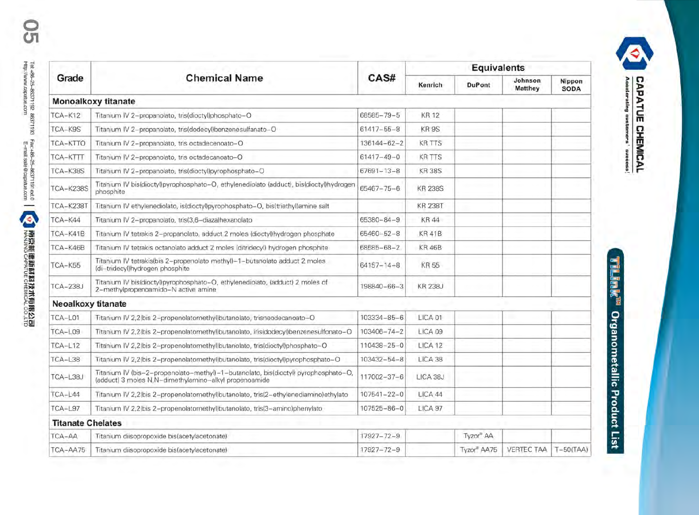|                           |                                                                                                                                             |                   |                    | <b>Equivalents</b>    |                           |                       |
|---------------------------|---------------------------------------------------------------------------------------------------------------------------------------------|-------------------|--------------------|-----------------------|---------------------------|-----------------------|
| Grade                     | <b>Chemical Name</b>                                                                                                                        | CAS#              | Kenrich            | <b>DuPont</b>         | Johnson<br><b>Matthey</b> | Nippon<br><b>SODA</b> |
|                           | Monoalkoxy titanate                                                                                                                         |                   |                    |                       |                           |                       |
| $TCA-K12$                 | Titanium IV 2-propanolato, tris(dioctyl)phosphato-O                                                                                         | 68585-79-5        | <b>KR12</b>        |                       |                           |                       |
| TCA-K9S                   | Titanium IV 2-propanolato, tris(dodecyl)benzenesulfanato-O                                                                                  | $61417 - 55 - 8$  | KR9S               |                       |                           |                       |
| TCA-KTTO                  | Titanium IV 2-propanolato, tris octadecenoato-O                                                                                             | 136144-62-2       | <b>KR TTS</b>      |                       |                           |                       |
| TCA-KTTT                  | Titanium IV 2-propanolato, tris octadecanoato-O                                                                                             | $61417 - 49 - 0$  | <b>KR TTS</b>      |                       |                           |                       |
| TCA-K38S                  | Titanium IV 2-propanolato, tris(dioctyl)pyrophosphato-O                                                                                     | $67691 - 13 - 8$  | <b>KR38S</b>       |                       |                           |                       |
| <b>TCA-K238S</b>          | Titanium IV bis(dioctyl)pyrophosphato-O, ethylenediolato (adduct), bis(dioctyl)hydrogen<br>phosphite                                        | $65467 - 75 - 6$  | <b>KR 238S</b>     |                       |                           |                       |
| TCA-K238T                 | Titanium IV ethylenediolato, is(dioctyl)pyrophosphato-O, bis(triethyl)amine salt                                                            |                   | <b>KR 238T</b>     |                       |                           |                       |
| $TCA-K44$                 | Titanium IV 2-propanolato, tris(3,6-diaza)hexanolato                                                                                        | 65380-84-9        | <b>KR44</b>        |                       |                           |                       |
| TCA-K41B                  | Titanium IV tetrakis 2-propanolato, adduct 2 moles (dioctyl)hydrogen phosphate                                                              | 65460-52-8        | <b>KR41B</b>       |                       |                           |                       |
| TCA-K46B                  | Titanium IV tetrakis octanolato adduct 2 moles (ditridecyl) hydrogen phosphite                                                              | 68585-68-2        | <b>KR46B</b>       |                       |                           |                       |
| TCA-K55                   | Titanium IV tetrakis(bis 2-propenolato methyl)-1-butanolato adduct 2 moles<br>(di-tridecyl)hydrogen phosphite                               | $64157 - 14 - 8$  | KR 55              |                       |                           |                       |
| <b>TCA-238J</b>           | Titanium IV bis(dioctyl)pyrophosphato-O, ethylenediolato, (adduct) 2 moles of<br>2-methylpropenoamido-N active amine                        | 198840-66-3       | <b>KR 238J</b>     |                       |                           |                       |
| <b>Neoalkoxy titanate</b> |                                                                                                                                             |                   |                    |                       |                           |                       |
| TCA-L01                   | Titanium IV 2,2(bis 2-propenolatomethyl)butanolato, trisneodecanoato-O                                                                      | 103334-85-6       | LICA <sub>01</sub> |                       |                           |                       |
| TCA-L09                   | Titanium IV 2,2(bis 2-propenolatomethyl)butanolato, iris(dodecyl)benzenesulfonato-O                                                         | 103406-74-2       | LICA 09            |                       |                           |                       |
| $TCA-L12$                 | Titanium IV 2,2(bis 2-propenolatomethyl)butanolato, tris(dioctyl)phosphato-O                                                                | 110438-25-0       | LICA <sub>12</sub> |                       |                           |                       |
| $TCA-L38$                 | Titanium IV 2.2 (bis 2-propenolatomethyl) butanolato, tris (dioctyl) pyrophosphato-O                                                        | 103432-54-8       | LICA 38            |                       |                           |                       |
| TCA-L38J                  | Titanium IV (bis-2-propenolato-methyl)-1-butanolato, bis(dioctyl) pyrophosphato-O,<br>(adduct) 3 moles N.N-dimethylamino-alkyl propenoamide | 117002-37-6       | LICA 38J           |                       |                           |                       |
| $TCA-L44$                 | Titanium IV 2,2(bis 2-propenolatomethyl)butanolato, tris(2-ethylenediamino)ethylato                                                         | $107541 - 22 - 0$ | LICA 44            |                       |                           |                       |
| $TCA-L97$                 | Titanium IV 2,2(bis 2-propenolatomethyl)butanolato, tris(3-amino)phenylato                                                                  | 107525-86-0       | LICA <sub>97</sub> |                       |                           |                       |
| <b>Titanate Chelates</b>  |                                                                                                                                             |                   |                    |                       |                           |                       |
| TCA-AA                    | Titanium diisopropoxide bis(acetylacetonate)                                                                                                | $17927 - 72 - 9$  |                    | Tyzor <sup>®</sup> AA |                           |                       |
| TCA-AA75                  | Titanium diisopropoxide bis(acetylacetonate)                                                                                                | $17927 - 72 - 9$  |                    | Tyzor® AA75           | <b>VERTEC TAA</b>         | $T-50(TAA)$           |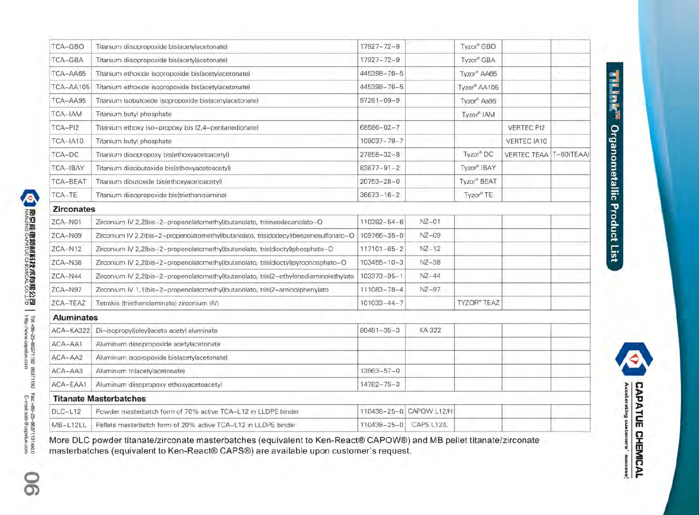| TCA-GBO           | Titanium diisopropoxide bis(acetylacetonate)                                         | $17927 - 72 - 9$       |                         | Tyzor® GBO               |                          |  |
|-------------------|--------------------------------------------------------------------------------------|------------------------|-------------------------|--------------------------|--------------------------|--|
| TCA-GBA           | Titanium diisopropoxide bis(acetylacetonate)                                         | $17927 - 72 - 9$       |                         | Tyzor® GBA               |                          |  |
| TCA-AA65          | Titanium ethoxide isopropoxide bis(acetylacetonate)                                  | 445398-76-5            |                         | Tyzor <sup>®</sup> AA65  |                          |  |
| TCA-AA105         | Titanium ethoxide isopropoxide bis(acetylacetonate)                                  | 445398-76-5            |                         | Tyzor <sup>®</sup> AA105 |                          |  |
| TCA-AA95          | Titanium isobutoxide isopropoxide bis(acetylacetonate)                               | $97281 - 09 - 9$       |                         | Tyzor <sup>Aa95</sup>    |                          |  |
| TCA-IAM           | Titanium butyl phosphate                                                             |                        |                         | Tyzor® IAM               |                          |  |
| TCA-PI2           | Titanium ethoxy iso-propoxy bis (2,4-pentanedionate)                                 | $68586 - 02 - 7$       |                         |                          | <b>VERTEC PI2</b>        |  |
| TCA-IA10          | Titanium butyl phosphate                                                             | 109037-78-7            |                         |                          | VERTEC IA10              |  |
| TCA-DC            | Titanium diisopropoxy bis(ethoxyacetoacetyl)                                         | $27858 - 32 - 8$       |                         | Tyzor <sup>®</sup> DC    | VERTEC TEAA   T-60(TEAA) |  |
| TCA-IBAY          | Titanium diisobutoxide bis(ethoxyacetoacetyl)                                        | $83877 - 91 - 2$       |                         | Tyzor <sup>®</sup> IBAY  |                          |  |
| <b>TCA-BEAT</b>   | Titanium dibutoxide bis(ethoxyacetoacetyl)                                           | $20753 - 28 - 0$       |                         | Tyzor <sup>®</sup> BEAT  |                          |  |
| TCA-TE            | Titanium diisopropoxide bis(triethanolamine)                                         | $36673 - 16 - 2$       |                         | Tyzor <sup>"</sup> TE    |                          |  |
| <b>Zirconates</b> |                                                                                      |                        |                         |                          |                          |  |
| ZCA-N01           | Zirconium IV 2,2(bis-2-propenolatomethyl)butanolato, trisneodecanolato-O             | 110392-54-6            | $NZ - 01$               |                          |                          |  |
| ZCA-N09           | Zirconium IV 2.2(bis-2-propenolatomethyl)butanolato, tris(dodecyl)benzenesulfonato-O | 109766-35-0            | $NZ-09$                 |                          |                          |  |
| $ZCA-N12$         | Zirconium IV 2,2(bis-2-propenolatomethyl)butanolato, tris(dioctyl)phosphato-O        | $117101 - 65 - 2$      | $NZ-12$                 |                          |                          |  |
| ZCA-N38           | Zirconium IV 2,2(bis-2-propenolatomethyl)butanolato, tris(dioctyl)pyrophosphato-O    | $103455 - 10 - 3$      | $NZ-38$                 |                          |                          |  |
| ZCA-N44           | Zirconium IV 2,2(bis-2-propenolatomethyl)butanolato, tris(2-ethylenediamino)ethylato | $103373 - 95 - 1$      | $NZ-44$                 |                          |                          |  |
| ZCA-N97           | Zirconium IV 1,1(bis-2-propenolatomethyl)butanolato, tris(2-amino)phenylato          | 111083-78-4            | $NZ-97$                 |                          |                          |  |
| ZCA-TEAZ          | Tetrakis (triethanolaminato) zirconium (IV)                                          | $101033 - 44 - 7$      |                         | <b>TYZOR® TEAZ</b>       |                          |  |
| <b>Aluminates</b> |                                                                                      |                        |                         |                          |                          |  |
| ACA-KA322         | Di-isopropyl(oleyl)aceto acetyl aluminate                                            | $80481 - 35 - 3$       | KA 322                  |                          |                          |  |
| ACA-AA1           | Aluminum diisopropoxide acetylacetonate                                              |                        |                         |                          |                          |  |
| ACA-AA2           | Aluminum isopropoxide bislacetylacetonate)                                           |                        |                         |                          |                          |  |
| ACA-AA3           | Aluminum tri(acetylacetonate)                                                        | $13963 - 57 - 0$       |                         |                          |                          |  |
| ACA-EAA1          | Aluminum diisopropoxy ethoxyacetoacetyl                                              | 14782-75-3             |                         |                          |                          |  |
|                   | <b>Titanate Masterbatches</b>                                                        |                        |                         |                          |                          |  |
| <b>DLC-L12</b>    | Powder masterbatch form of 70% active TCA-L12 in LLDPE binder                        |                        | 110438-25-0 CAPOW L12/H |                          |                          |  |
| MB-L12LL          | Pellets masterbatch form of 20% active TCA-L12 in LLDPE binder                       | 110438-25-0 CAPS L12/L |                         |                          |                          |  |

si<br>S

**CAPATUE CHEMICAL** Accelerating customers' success!

**南京熊龍新師掲技术師既公司 |** Tet-49c-25–96371192 66371193 Fax-46c-25–96371191ext.0<br>NANJING CAPATUE CHEMICAL CO.LTD | Http://www.capatue.com<br>MANJING CAPATUE CHEMICAL CO.LTD | Http://www.capatue.com More DLC powder titanate/zirconate masterbatches (equivalent to Ken-React® CAPOW®) and MB pellet titanate/zirconate masterbatches (equivalent to Ken-React® CAPS®) are available upon customer's request. ରଁ